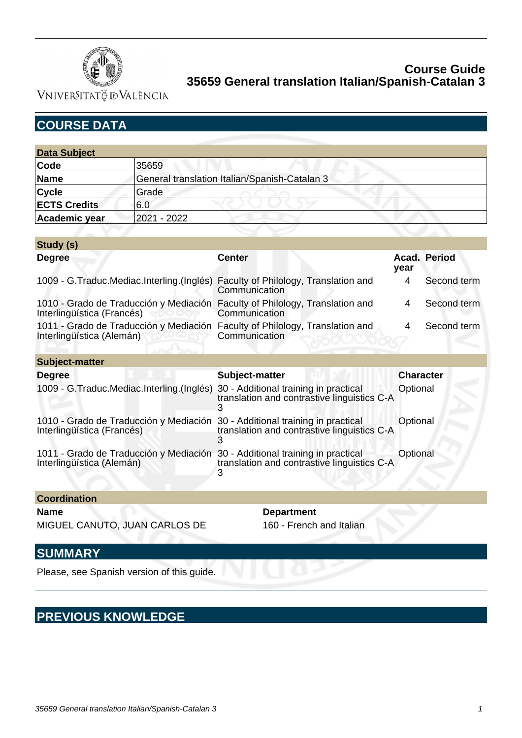

Vniver§itatğ dValència

| <b>COURSE DATA</b> |
|--------------------|
|--------------------|

| <b>Data Subject</b> |                                               |
|---------------------|-----------------------------------------------|
| Code                | 35659                                         |
| Name                | General translation Italian/Spanish-Catalan 3 |
| <b>Cycle</b>        | Grade                                         |
| <b>ECTS Credits</b> | 6.0                                           |
| Academic year       | 2021 - 2022                                   |

| Study (s)                                                                                                  |                |                  |              |
|------------------------------------------------------------------------------------------------------------|----------------|------------------|--------------|
| <b>Degree</b>                                                                                              | <b>Center</b>  | year             | Acad. Period |
| 1009 - G.Traduc.Mediac.Interling.(Inglés) Faculty of Philology, Translation and                            | Communication  | 4                | Second term  |
| 1010 - Grado de Traducción y Mediación Faculty of Philology, Translation and<br>Interlingüística (Francés) | Communication  | 4                | Second term  |
| 1011 - Grado de Traducción y Mediación Faculty of Philology, Translation and<br>Interlingüística (Alemán)  | Communication  | 4                | Second term  |
| Subject-matter                                                                                             |                |                  |              |
| <b>Degree</b>                                                                                              | Subject-matter | <b>Character</b> |              |

| Degree                                                                                                     | Subject-matter                              | Character |
|------------------------------------------------------------------------------------------------------------|---------------------------------------------|-----------|
| 1009 - G. Traduc. Mediac. Interling. (Inglés) 30 - Additional training in practical                        | translation and contrastive linguistics C-A | Optional  |
| 1010 - Grado de Traducción y Mediación 30 - Additional training in practical<br>Interlingüística (Francés) | translation and contrastive linguistics C-A | Optional  |
| 1011 - Grado de Traducción y Mediación 30 - Additional training in practical<br>Interlingüística (Alemán)  | translation and contrastive linguistics C-A | Optional  |

**Coordination Name Department** 

MIGUEL CANUTO, JUAN CARLOS DE 160 - French and Italian

## **SUMMARY**

Please, see Spanish version of this guide.

# **PREVIOUS KNOWLEDGE**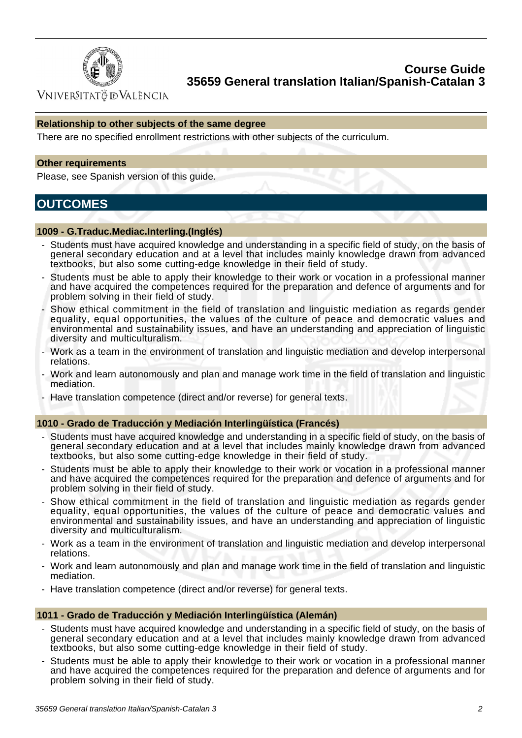

**VNIVERSITATÖ IDVALÈNCIA** 

#### **Relationship to other subjects of the same degree**

There are no specified enrollment restrictions with other subjects of the curriculum.

#### **Other requirements**

Please, see Spanish version of this guide.

## **OUTCOMES**

#### **1009 - G.Traduc.Mediac.Interling.(Inglés)**

- Students must have acquired knowledge and understanding in a specific field of study, on the basis of general secondary education and at a level that includes mainly knowledge drawn from advanced textbooks, but also some cutting-edge knowledge in their field of study.
- Students must be able to apply their knowledge to their work or vocation in a professional manner and have acquired the competences required for the preparation and defence of arguments and for problem solving in their field of study.
- Show ethical commitment in the field of translation and linguistic mediation as regards gender equality, equal opportunities, the values of the culture of peace and democratic values and environmental and sustainability issues, and have an understanding and appreciation of linguistic diversity and multiculturalism.
- Work as a team in the environment of translation and linguistic mediation and develop interpersonal relations.
- Work and learn autonomously and plan and manage work time in the field of translation and linguistic mediation.
- Have translation competence (direct and/or reverse) for general texts.

#### **1010 - Grado de Traducción y Mediación Interlingüística (Francés)**

- Students must have acquired knowledge and understanding in a specific field of study, on the basis of general secondary education and at a level that includes mainly knowledge drawn from advanced textbooks, but also some cutting-edge knowledge in their field of study.
- Students must be able to apply their knowledge to their work or vocation in a professional manner and have acquired the competences required for the preparation and defence of arguments and for problem solving in their field of study.
- Show ethical commitment in the field of translation and linguistic mediation as regards gender equality, equal opportunities, the values of the culture of peace and democratic values and environmental and sustainability issues, and have an understanding and appreciation of linguistic diversity and multiculturalism.
- Work as a team in the environment of translation and linguistic mediation and develop interpersonal relations.
- Work and learn autonomously and plan and manage work time in the field of translation and linguistic mediation.
- Have translation competence (direct and/or reverse) for general texts.

#### **1011 - Grado de Traducción y Mediación Interlingüística (Alemán)**

- Students must have acquired knowledge and understanding in a specific field of study, on the basis of general secondary education and at a level that includes mainly knowledge drawn from advanced textbooks, but also some cutting-edge knowledge in their field of study.
- Students must be able to apply their knowledge to their work or vocation in a professional manner and have acquired the competences required for the preparation and defence of arguments and for problem solving in their field of study.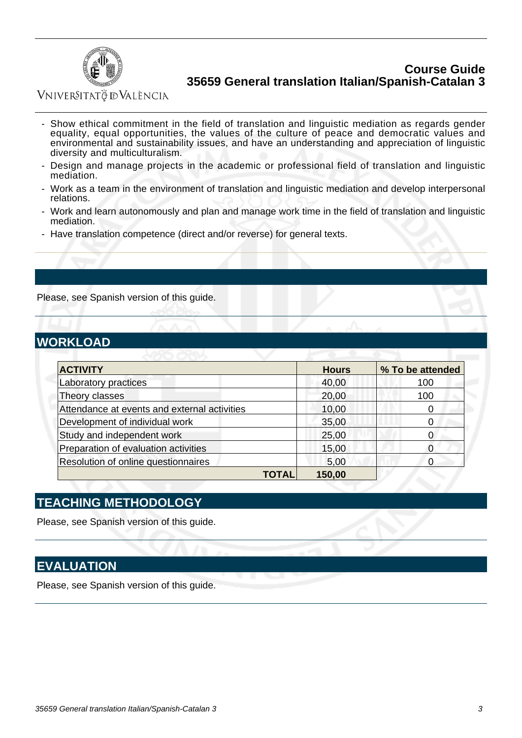

VNIVERSITATÖ DVALÈNCIA

- Show ethical commitment in the field of translation and linguistic mediation as regards gender equality, equal opportunities, the values of the culture of peace and democratic values and environmental and sustainability issues, and have an understanding and appreciation of linguistic diversity and multiculturalism.
- Design and manage projects in the academic or professional field of translation and linguistic mediation.
- Work as a team in the environment of translation and linguistic mediation and develop interpersonal relations.
- Work and learn autonomously and plan and manage work time in the field of translation and linguistic mediation.
- Have translation competence (direct and/or reverse) for general texts.

Please, see Spanish version of this guide.

## **WORKLOAD**

| <b>ACTIVITY</b>                              | <b>Hours</b> | % To be attended |  |
|----------------------------------------------|--------------|------------------|--|
| Laboratory practices                         | 40,00        | 100              |  |
| Theory classes                               | 20,00        | 100              |  |
| Attendance at events and external activities | 10,00        |                  |  |
| Development of individual work               | 35,00        |                  |  |
| Study and independent work                   | 25,00        |                  |  |
| Preparation of evaluation activities         | 15,00        |                  |  |
| Resolution of online questionnaires          | 5,00         |                  |  |
| TOTAL                                        | 150,00       |                  |  |

## **TEACHING METHODOLOGY**

Please, see Spanish version of this guide.

## **EVALUATION**

Please, see Spanish version of this guide.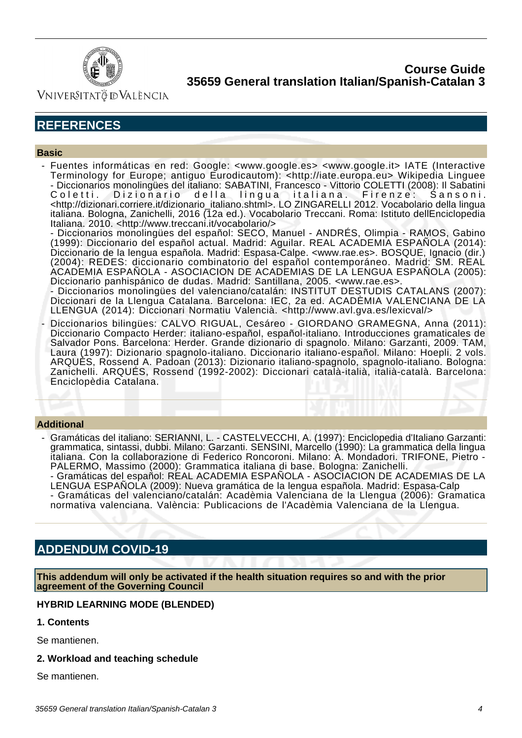

Vniver§itatğ dValència

## **REFERENCES**

#### **Basic**

 - Fuentes informáticas en red: Google: <www.google.es> <www.google.it> IATE (Interactive Terminology for Europe; antiguo Eurodicautom): <http://iate.europa.eu> Wikipedia Linguee - Diccionarios monolingües del italiano: SABATINI, Francesco - Vittorio COLETTI (2008): Il Sabatini Coletti. Dizionario della lingua italiana. Firenze: Sansoni. <http://dizionari.corriere.it/dizionario\_italiano.shtml>. LO ZINGARELLI 2012. Vocabolario della lingua italiana. Bologna, Zanichelli, 2016 (12a ed.). Vocabolario Treccani. Roma: Istituto dellEnciclopedia Italiana. 2010. <http://www.treccani.it/vocabolario/>

- Diccionarios monolingües del español: SECO, Manuel - ANDRÉS, Olimpia - RAMOS, Gabino (1999): Diccionario del español actual. Madrid: Aguilar. REAL ACADEMIA ESPAÑOLA (2014): Diccionario de la lengua española. Madrid: Espasa-Calpe. <www.rae.es>. BOSQUE, Ignacio (dir.) (2004): REDES: diccionario combinatorio del español contemporáneo. Madrid: SM. REAL ACADEMIA ESPAÑOLA - ASOCIACION DE ACADEMIAS DE LA LENGUA ESPAÑOLA (2005): Diccionario panhispánico de dudas. Madrid: Santillana, 2005. <www.rae.es>.

- Diccionarios monolingües del valenciano/catalán: INSTITUT DESTUDIS CATALANS (2007): Diccionari de la Llengua Catalana. Barcelona: IEC, 2a ed. ACADÈMIA VALENCIANA DE LA LLENGUA (2014): Diccionari Normatiu Valencià. <http://www.avl.gva.es/lexicval/>

Diccionarios bilingües: CALVO RIGUAL, Cesáreo - GIORDANO GRAMEGNA, Anna (2011): Diccionario Compacto Herder: italiano-español, español-italiano. Introducciones gramaticales de Salvador Pons. Barcelona: Herder. Grande dizionario di spagnolo. Milano: Garzanti, 2009. TAM, Laura (1997): Dizionario spagnolo-italiano. Diccionario italiano-español. Milano: Hoepli. 2 vols. ARQUÉS, Rossend A. Padoan (2013): Dizionario italiano-spagnolo, spagnolo-italiano. Bologna: Zanichelli. ARQUÉS, Rossend (1992-2002): Diccionari català-italià, italià-català. Barcelona: Enciclopèdia Catalana.

#### **Additional**

- Gramáticas del italiano: SERIANNI, L. CASTELVECCHI, A. (1997): Enciclopedia d'Italiano Garzanti: grammatica, sintassi, dubbi. Milano: Garzanti. SENSINI, Marcello (1990): La grammatica della lingua italiana. Con la collaborazione di Federico Roncoroni. Milano: A. Mondadori. TRIFONE, Pietro - PALERMO, Massimo (2000): Grammatica italiana di base. Bologna: Zanichelli.
	- Gramáticas del español: REAL ACADEMIA ESPAÑOLA ASOCIACION DE ACADEMIAS DE LA LENGUA ESPAÑOLA (2009): Nueva gramática de la lengua española. Madrid: Espasa-Calp - Gramáticas del valenciano/catalán: Acadèmia Valenciana de la Llengua (2006): Gramatica normativa valenciana. València: Publicacions de l'Acadèmia Valenciana de la Llengua.

## **ADDENDUM COVID-19**

**This addendum will only be activated if the health situation requires so and with the prior agreement of the Governing Council**

#### **HYBRID LEARNING MODE (BLENDED)**

**1. Contents**

Se mantienen.

**2. Workload and teaching schedule**

Se mantienen.